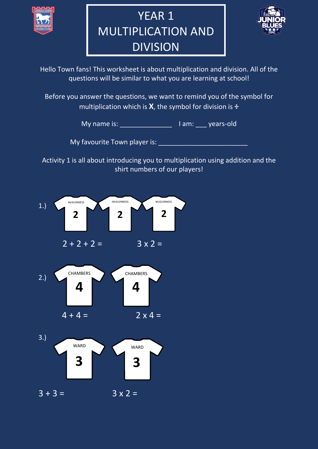

## YEAR 1 MULTIPLICATION AND DIVISION



Hello Town fans! This worksheet is about multiplication and division. All of the questions will be similar to what you are learning at school!

Before you answer the questions, we want to remind you of the symbol for multiplication which is **X**, the symbol for division is **÷**

My name is: \_\_\_\_\_\_\_\_\_\_\_\_\_\_\_\_\_\_\_\_\_\_\_\_ I am: \_\_\_\_ years-old

My favourite Town player is: **Way** favourite

Activity 1 is all about introducing you to multiplication using addition and the shirt numbers of our players!

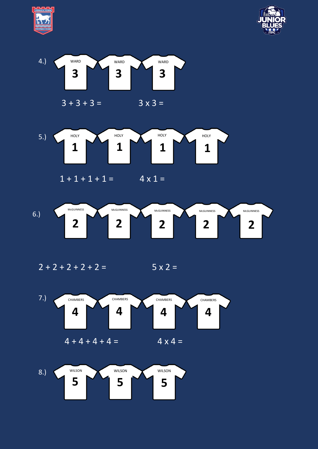







 $1 + 1 + 1 + 1 = 4 \times 1 =$ 



 $2 + 2 + 2 + 2 + 2 =$  5 x 2 =



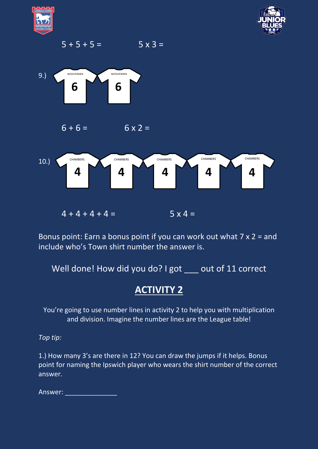











Bonus point: Earn a bonus point if you can work out what 7 x 2 = and include who's Town shirt number the answer is.

Well done! How did you do? I got \_\_\_ out of 11 correct

## **ACTIVITY 2**

You're going to use number lines in activity 2 to help you with multiplication and division. Imagine the number lines are the League table!

*Top tip:* 

1.) How many 3's are there in 12? You can draw the jumps if it helps. Bonus point for naming the Ipswich player who wears the shirt number of the correct answer.

Answer: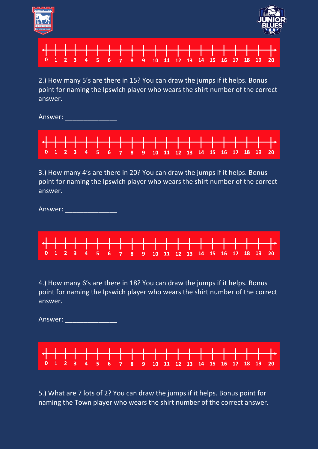





2.) How many 5's are there in 15? You can draw the jumps if it helps. Bonus point for naming the Ipswich player who wears the shirt number of the correct answer.

Answer:

| <u>┟╉╾╂╼╂╼╁╼╁╼╂═╂═╂═╂╼╂╾╂╼╂╼┼╾╂═╂═╂═╂═╂═╂╾╂</u> ╾╂╾ <sub></sub> |  |  |  |  |  |  |  |  |  |  |
|-----------------------------------------------------------------|--|--|--|--|--|--|--|--|--|--|
| 0 1 2 3 4 5 6 7 8 9 10 11 12 13 14 15 16 17 18 19 20            |  |  |  |  |  |  |  |  |  |  |

3.) How many 4's are there in 20? You can draw the jumps if it helps. Bonus point for naming the Ipswich player who wears the shirt number of the correct answer.

Answer:



4.) How many 6's are there in 18? You can draw the jumps if it helps. Bonus point for naming the Ipswich player who wears the shirt number of the correct answer.

Answer: \_\_\_\_\_\_\_\_\_\_\_\_\_\_



5.) What are 7 lots of 2? You can draw the jumps if it helps. Bonus point for naming the Town player who wears the shirt number of the correct answer.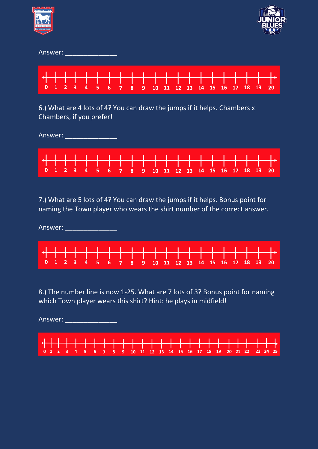| Answer:                                                                                              |   |                |   |   |   |   |   |   |   |    |    |    |    |    |    |    |    |    |    |    |
|------------------------------------------------------------------------------------------------------|---|----------------|---|---|---|---|---|---|---|----|----|----|----|----|----|----|----|----|----|----|
| 0                                                                                                    | 1 | $\overline{2}$ | 3 | 4 | 5 | 6 | 7 | 8 | 9 | 10 | 11 | 12 | 13 | 14 | 15 | 16 | 17 | 18 | 19 | 20 |
| 6.) What are 4 lots of 4? You can draw the jumps if it helps. Chambers x<br>Chambers, if you prefer! |   |                |   |   |   |   |   |   |   |    |    |    |    |    |    |    |    |    |    |    |
| Answer:                                                                                              |   |                |   |   |   |   |   |   |   |    |    |    |    |    |    |    |    |    |    |    |
|                                                                                                      |   |                |   |   |   |   |   |   |   |    |    |    |    |    |    |    |    |    |    |    |



7.) What are 5 lots of 4? You can draw the jumps if it helps. Bonus point for naming the Town player who wears the shirt number of the correct answer.

Answer:



8.) The number line is now 1-25. What are 7 lots of 3? Bonus point for naming which Town player wears this shirt? Hint: he plays in midfield!

Answer: \_\_\_\_\_\_\_\_\_\_\_\_\_\_\_\_\_\_\_\_\_

|  |  |  |  | <u>, gan an bandar bandar bandar bandar bandar bandar bandar bandar bandar bandar bandar.</u>                  |  |  |  |  |  |  |  |  |  |
|--|--|--|--|----------------------------------------------------------------------------------------------------------------|--|--|--|--|--|--|--|--|--|
|  |  |  |  | in 1970 and 1970 and 1971 and 1972 and 1972 and 1972 and 1972 and 1972 and 1972 and 1972 and 1972 and 1972 and |  |  |  |  |  |  |  |  |  |
|  |  |  |  | 0 1 2 3 4 5 6 7 8 9 10 11 12 13 14 15 16 17 18 19 20 21 22 23 24 25                                            |  |  |  |  |  |  |  |  |  |
|  |  |  |  |                                                                                                                |  |  |  |  |  |  |  |  |  |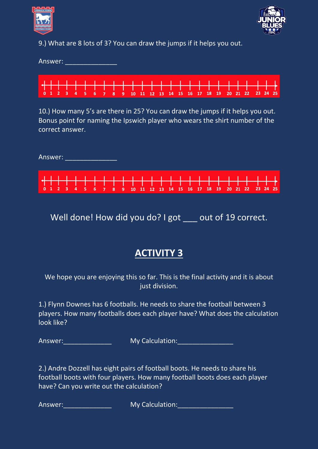



9.) What are 8 lots of 3? You can draw the jumps if it helps you out.

Answer: **Answer: Answer:** 

| <del>╺╿╌┠╼┠╼┠═╂═╂═╂╾╂═╂╾╂╾╂╾╂╾╂╾╂╾╂╼╂╼╂═╂═╂═╂═╂═╋</del> ═╋<br>0 1 2 3 4 5 6 7 8 9 10 11 12 13 14 15 16 17 18 19 20 21 22 23 24 25 |  |  |  |  |  |  |  |  |  |  |  |  |  |
|-----------------------------------------------------------------------------------------------------------------------------------|--|--|--|--|--|--|--|--|--|--|--|--|--|

10.) How many 5's are there in 25? You can draw the jumps if it helps you out. Bonus point for naming the Ipswich player who wears the shirt number of the correct answer.

|  | Answer: |  |  |  |  |  |  |  |  |  |  |                                                                     |  |
|--|---------|--|--|--|--|--|--|--|--|--|--|---------------------------------------------------------------------|--|
|  |         |  |  |  |  |  |  |  |  |  |  | │ <del>╉╂╂╂╂╂╂╂╂╂╂╂╂╂╂╂╂╂╂╂╂╂╂╂╂╂╂╂╂╂╂╂</del> ╂┽╋╎                  |  |
|  |         |  |  |  |  |  |  |  |  |  |  | 0 1 2 3 4 5 6 7 8 9 10 11 12 13 14 15 16 17 18 19 20 21 22 23 24 25 |  |

Well done! How did you do? I got \_\_\_ out of 19 correct.

## **ACTIVITY 3**

We hope you are enjoying this so far. This is the final activity and it is about just division.

1.) Flynn Downes has 6 footballs. He needs to share the football between 3 players. How many footballs does each player have? What does the calculation look like?

Answer: The Contract of My Calculation: The Contract of Answer: The Contract of My Calculation:

2.) Andre Dozzell has eight pairs of football boots. He needs to share his football boots with four players. How many football boots does each player have? Can you write out the calculation?

Answer: My Calculation: Answer: